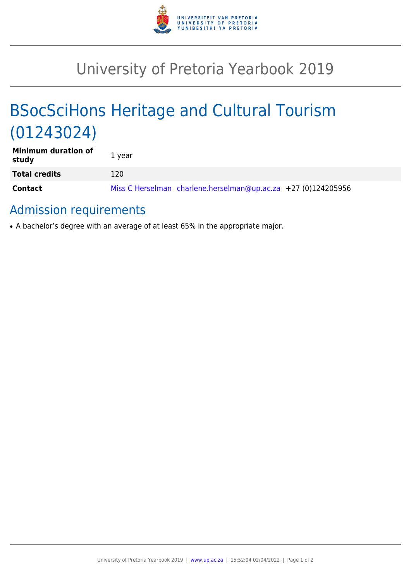

# University of Pretoria Yearbook 2019

# BSocSciHons Heritage and Cultural Tourism (01243024)

| <b>Minimum duration of</b><br>study | 1 year                                                        |
|-------------------------------------|---------------------------------------------------------------|
| <b>Total credits</b>                | 120                                                           |
| <b>Contact</b>                      | Miss C Herselman charlene.herselman@up.ac.za +27 (0)124205956 |

## Admission requirements

• A bachelor's degree with an average of at least 65% in the appropriate major.